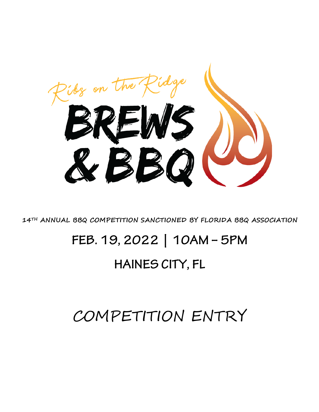

**14TH ANNUAL BBQ COMPETITION SANCTIONED BY FLORIDA BBQ ASSOCIATION** 

# **FEB. 19, 2022 | 10AM – 5PM**

# **HAINES CITY, FL**

# COMPETITION ENTRY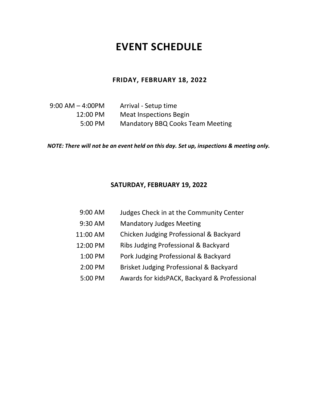# **EVENT SCHEDULE**

#### **FRIDAY, FEBRUARY 18, 2022**

 $9:00$  AM  $-$  4:00PM Arrival - Setup time 12:00 PM Meat Inspections Begin 5:00 PM Mandatory BBQ Cooks Team Meeting

*NOTE: There will not be an event held on this day. Set up, inspections & meeting only.* 

### **SATURDAY, FEBRUARY 19, 2022**

- 9:00 AM Judges Check in at the Community Center
- 9:30 AM Mandatory Judges Meeting
- 11:00 AM Chicken Judging Professional & Backyard
- 12:00 PM Ribs Judging Professional & Backyard
	- 1:00 PM Pork Judging Professional & Backyard
	- 2:00 PM Brisket Judging Professional & Backyard
	- 5:00 PM Awards for kidsPACK, Backyard & Professional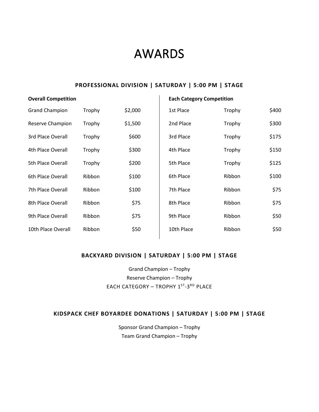# AWARDS

### **PROFESSIONAL DIVISION | SATURDAY | 5:00 PM | STAGE**

| <b>Overall Competition</b> |        |         | <b>Each Category Competition</b> |        |       |
|----------------------------|--------|---------|----------------------------------|--------|-------|
| <b>Grand Champion</b>      | Trophy | \$2,000 | 1st Place                        | Trophy | \$400 |
| Reserve Champion           | Trophy | \$1,500 | 2nd Place                        | Trophy | \$300 |
| 3rd Place Overall          | Trophy | \$600   | 3rd Place                        | Trophy | \$175 |
| 4th Place Overall          | Trophy | \$300   | 4th Place                        | Trophy | \$150 |
| 5th Place Overall          | Trophy | \$200   | 5th Place                        | Trophy | \$125 |
| 6th Place Overall          | Ribbon | \$100   | 6th Place                        | Ribbon | \$100 |
| 7th Place Overall          | Ribbon | \$100   | 7th Place                        | Ribbon | \$75  |
| 8th Place Overall          | Ribbon | \$75    | 8th Place                        | Ribbon | \$75  |
| 9th Place Overall          | Ribbon | \$75    | 9th Place                        | Ribbon | \$50  |
| 10th Place Overall         | Ribbon | \$50    | 10th Place                       | Ribbon | \$50  |
|                            |        |         |                                  |        |       |

## **BACKYARD DIVISION | SATURDAY | 5:00 PM | STAGE**

 Grand Champion – Trophy Reserve Champion – Trophy EACH CATEGORY - TROPHY 1<sup>ST</sup>-3<sup>RD</sup> PLACE

### **KIDSPACK CHEF BOYARDEE DONATIONS | SATURDAY | 5:00 PM | STAGE**

 Sponsor Grand Champion – Trophy Team Grand Champion – Trophy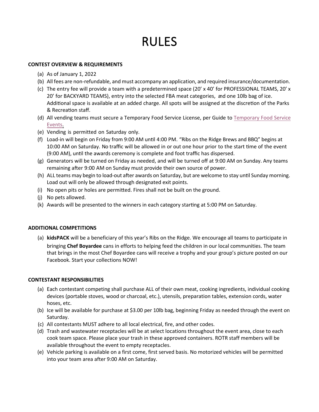# RULES

#### **CONTEST OVERVIEW & REQUIREMENTS**

- (a) As of January 1, 2022
- (b) All fees are non-refundable, and must accompany an application, and required insurance/documentation.
- (c) The entry fee will provide a team with a predetermined space (20' x 40' for PROFESSIONAL TEAMS, 20' x Addi�onal space is available at an added charge. All spots will be assigned at the discre�on of the Parks 20' for BACKYARD TEAMS), entry into the selected FBA meat categories, and one 10lb bag of ice. & Recreation staff.
- (d) All vending teams must secure a Temporary Food Service License, per Guide to [Temporary Food Service](http://www.myfloridalicense.com/dbpr/HR/forms/documents/5030_034.pdf) [Events.](http://www.myfloridalicense.com/dbpr/HR/forms/documents/5030_034.pdf)
- (e) Vending is permitted on Saturday only.
- (f) Load-in will begin on Friday from 9:00 AM un�l 4:00 PM. "Ribs on the Ridge Brews and BBQ" begins at 10:00 AM on Saturday. No traffic will be allowed in or out one hour prior to the start �me of the event (9:00 AM), un�l the awards ceremony is complete and foot traffic has dispersed.
- remaining a�er 9:00 AM on Sunday must provide their own source of power. (g) Generators will be turned on Friday as needed, and will be turned off at 9:00 AM on Sunday. Any teams
- Load out will only be allowed through designated exit points. (h) ALL teams may begin to load-out after awards on Saturday, but are welcome to stay until Sunday morning.
- (i) No open pits or holes are permited. Fires shall not be built on the ground.
- (j) No pets allowed.
- (k) Awards will be presented to the winners in each category starting at 5:00 PM on Saturday.

#### **ADDITIONAL COMPETITIONS**

 bringing **Chef Boyardee** cans in efforts to helping feed the children in our local communities. The team (a) **kidsPACK** will be a beneficiary of this year's Ribs on the Ridge. We encourage all teams to participate in that brings in the most Chef Boyardee cans will receive a trophy and your group's picture posted on our Facebook. Start your collections NOW!

#### **CONTESTANT RESPONSIBILITIES**

- (a) Each contestant competing shall purchase ALL of their own meat, cooking ingredients, individual cooking devices (portable stoves, wood or charcoal, etc.), utensils, preparation tables, extension cords, water hoses, etc.
- (b) Ice will be available for purchase at \$3.00 per 10lb bag, beginning Friday as needed through the event on Saturday.
- (c) All contestants MUST adhere to all local electrical, fire, and other codes.
- (d) Trash and wastewater receptacles will be at select locations throughout the event area, close to each cook team space. Please place your trash in these approved containers. ROTR staff members will be available throughout the event to empty receptacles.
- (e) Vehicle parking is available on a first come, first served basis. No motorized vehicles will be permitted into your team area after 9:00 AM on Saturday.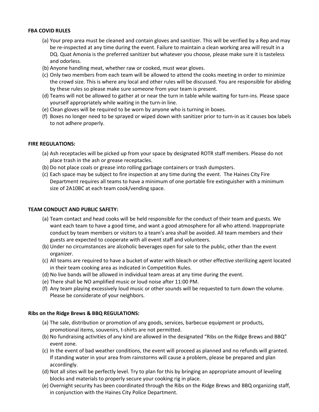#### **FBA COVID RULES**

- be re-inspected at any time during the event. Failure to maintain a clean working area will result in a (a) Your prep area must be cleaned and contain gloves and sanitizer. This will be verified by a Rep and may DQ. Quat Amonia is the preferred sanitizer but whatever you choose, please make sure it is tasteless and odorless.
- (b) Anyone handling meat, whether raw or cooked, must wear gloves.
- by these rules so please make sure someone from your team is present. (c) Only two members from each team will be allowed to attend the cooks meeting in order to minimize the crowd size. This is where any local and other rules will be discussed. You are responsible for abiding
- yourself appropriately while waiting in the turn-in line. (d) Teams will not be allowed to gather at or near the turn in table while waiting for turn-ins. Please space
- (e) Clean gloves will be required to be worn by anyone who is turning in boxes.
- (f) Boxes no longer need to be sprayed or wiped down with sanitizer prior to turn-in as it causes box labels to not adhere properly.

#### **FIRE REGULATIONS:**

- (a) Ash receptacles will be picked up from your space by designated ROTR staff members. Please do not place trash in the ash or grease receptacles.
- (b) Do not place coals or grease into rolling garbage containers or trash dumpsters.
- Department requires all teams to have a minimum of one portable fire extinguisher with a minimum size of 2A10BC at each team cook/vending space. (c) Each space may be subject to fire inspection at any time during the event. The Haines City Fire

#### **TEAM CONDUCT AND PUBLIC SAFETY:**

- want each team to have a good time, and want a good atmosphere for all who attend. Inappropriate guests are expected to cooperate with all event staff and volunteers. (a) Team contact and head cooks will be held responsible for the conduct of their team and guests. We conduct by team members or visitors to a team's area shall be avoided. All team members and their
- (b) Under no circumstances are alcoholic beverages open for sale to the public, other than the event organizer.
- in their team cooking area as indicated in Competition Rules. (c) All teams are required to have a bucket of water with bleach or other effective sterilizing agent located
- (d) No live bands will be allowed in individual team areas at any time during the event.
- (e) There shall be NO amplified music or loud noise after 11:00 PM.
- (f) Any team playing excessively loud music or other sounds will be requested to turn down the volume. Please be considerate of your neighbors.

#### **Ribs on the Ridge Brews & BBQ REGULATIONS:**

- promotional items, souvenirs, t-shirts are not permitted. (a) The sale, distribution or promotion of any goods, services, barbecue equipment or products,
- (b) No fundraising activities of any kind are allowed in the designated "Ribs on the Ridge Brews and BBQ" event zone.
- (c) In the event of bad weather conditions, the event will proceed as planned and no refunds will granted. If standing water in your area from rainstorms will cause a problem, please be prepared and plan accordingly.
- (d) Not all sites will be perfectly level. Try to plan for this by bringing an appropriate amount of leveling blocks and materials to properly secure your cooking rig in place.
- (e) Overnight security has been coordinated through the Ribs on the Ridge Brews and BBQ organizing staff, in conjunction with the Haines City Police Department.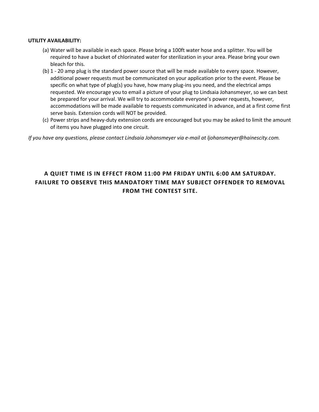#### **UTILITY AVAILABILITY:**

- (a) Water will be available in each space. Please bring a 100ft water hose and a splitter. You will be required to have a bucket of chlorinated water for sterilization in your area. Please bring your own bleach for this.
- (b) 1 20 amp plug is the standard power source that will be made available to every space. However, additional power requests must be communicated on your application prior to the event. Please be requested. We encourage you to email a picture of your plug to Lindsaia Johansmeyer, so we can best specific on what type of plug(s) you have, how many plug-ins you need, and the electrical amps be prepared for your arrival. We will try to accommodate everyone's power requests, however, accommodations will be made available to requests communicated in advance, and at a first come first serve basis. Extension cords will NOT be provided.
- of items you have plugged into one circuit. (c) Power strips and heavy-duty extension cords are encouraged but you may be asked to limit the amount

*If you have any questions, please contact Lindsaia Johansmeyer via e-mail at [ljohansmeyer@hainescity.com.](mailto:ljohansmeyer@hainescity.com)* 

## **A QUIET TIME IS IN EFFECT FROM 11:00 PM FRIDAY UNTIL 6:00 AM SATURDAY. FAILURE TO OBSERVE THIS MANDATORY TIME MAY SUBJECT OFFENDER TO REMOVAL FROM THE CONTEST SITE.**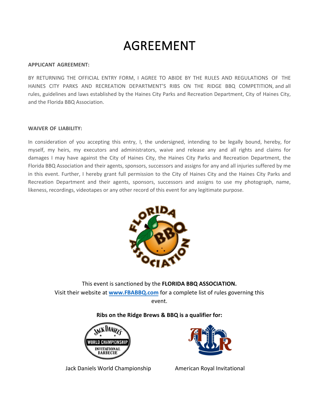# AGREEMENT

#### **APPLICANT AGREEMENT:**

BY RETURNING THE OFFICIAL ENTRY FORM, I AGREE TO ABIDE BY THE RULES AND REGULATIONS OF THE HAINES CITY PARKS AND RECREATION DEPARTMENT'S RIBS ON THE RIDGE BBQ COMPETITION, and all rules, guidelines and laws established by the Haines City Parks and Recreation Department, City of Haines City, and the Florida BBQ Association.

#### **WAIVER OF LIABILITY:**

 In consideration of you accepting this entry, I, the undersigned, intending to be legally bound, hereby, for myself, my heirs, my executors and administrators, waive and release any and all rights and claims for damages I may have against the City of Haines City, the Haines City Parks and Recreation Department, the Florida BBQ Association and their agents, sponsors, successors and assigns for any and all injuries suffered by me in this event. Further, I hereby grant full permission to the City of Haines City and the Haines City Parks and Recreation Department and their agents, sponsors, successors and assigns to use my photograph, name, likeness, recordings, videotapes or any other record of this event for any legitimate purpose.



This event is sanctioned by the **FLORIDA BBQ ASSOCIATION.**  Visit their website at **[www.FBABBQ.com](http://www.fbabbq.com/)** for a complete list of rules governing this event.

## **Ribs on the Ridge Brews & BBQ is a qualifier for:**



Jack Daniels World Championship American Royal Invitational

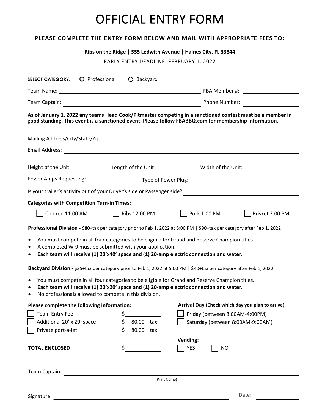# OFFICIAL ENTRY FORM

### **PLEASE COMPLETE THE ENTRY FORM BELOW AND MAIL WITH APPROPRIATE FEES TO:**

|                                                                                                                                                                                                                    |                                        | Ribs on the Ridge   555 Ledwith Avenue   Haines City, FL 33844                                                                          |                                                   |  |  |
|--------------------------------------------------------------------------------------------------------------------------------------------------------------------------------------------------------------------|----------------------------------------|-----------------------------------------------------------------------------------------------------------------------------------------|---------------------------------------------------|--|--|
|                                                                                                                                                                                                                    | EARLY ENTRY DEADLINE: FEBRUARY 1, 2022 |                                                                                                                                         |                                                   |  |  |
| O Professional<br><b>SELECT CATEGORY:</b>                                                                                                                                                                          | $O$ Backyard                           |                                                                                                                                         |                                                   |  |  |
|                                                                                                                                                                                                                    |                                        |                                                                                                                                         |                                                   |  |  |
|                                                                                                                                                                                                                    |                                        |                                                                                                                                         |                                                   |  |  |
| As of January 1, 2022 any teams Head Cook/Pitmaster competing in a sanctioned contest must be a member in<br>good standing. This event is a sanctioned event. Please follow FBABBQ.com for membership information. |                                        |                                                                                                                                         |                                                   |  |  |
|                                                                                                                                                                                                                    |                                        |                                                                                                                                         |                                                   |  |  |
|                                                                                                                                                                                                                    |                                        |                                                                                                                                         |                                                   |  |  |
|                                                                                                                                                                                                                    |                                        |                                                                                                                                         |                                                   |  |  |
|                                                                                                                                                                                                                    |                                        | Height of the Unit: _______________________Length of the Unit: __________________ Width of the Unit: __________________________________ |                                                   |  |  |
|                                                                                                                                                                                                                    |                                        |                                                                                                                                         |                                                   |  |  |
|                                                                                                                                                                                                                    |                                        |                                                                                                                                         |                                                   |  |  |
| <b>Categories with Competition Turn-in Times:</b>                                                                                                                                                                  |                                        |                                                                                                                                         |                                                   |  |  |
| Chicken 11:00 AM                                                                                                                                                                                                   | $\vert$ Ribs 12:00 PM                  | Pork 1:00 PM                                                                                                                            | Brisket 2:00 PM                                   |  |  |
| Professional Division - \$80+tax per category prior to Feb 1, 2022 at 5:00 PM   \$90+tax per category after Feb 1, 2022                                                                                            |                                        |                                                                                                                                         |                                                   |  |  |
| You must compete in all four categories to be eligible for Grand and Reserve Champion titles.<br>$\bullet$<br>A completed W-9 must be submitted with your application.<br>$\bullet$<br>$\bullet$                   |                                        | Each team will receive (1) 20'x40' space and (1) 20-amp electric connection and water.                                                  |                                                   |  |  |
| Backyard Division - \$35+tax per category prior to Feb 1, 2022 at 5:00 PM   \$40+tax per category after Feb 1, 2022                                                                                                |                                        |                                                                                                                                         |                                                   |  |  |
| • You must compete in all four categories to be eligible for Grand and Reserve Champion titles.<br>٠<br>No professionals allowed to compete in this division.<br>$\bullet$                                         |                                        | Each team will receive (1) 20'x20' space and (1) 20-amp electric connection and water.                                                  |                                                   |  |  |
| Please complete the following information:                                                                                                                                                                         |                                        |                                                                                                                                         | Arrival Day (Check which day you plan to arrive): |  |  |
| <b>Team Entry Fee</b>                                                                                                                                                                                              | \$.<br>Friday (between 8:00AM-4:00PM)  |                                                                                                                                         |                                                   |  |  |
| Additional 20' x 20' space                                                                                                                                                                                         | \$<br>$80.00 + tax$                    | Saturday (between 8:00AM-9:00AM)                                                                                                        |                                                   |  |  |
| Private port-a-let                                                                                                                                                                                                 | $80.00 + tax$<br>Ś.                    |                                                                                                                                         |                                                   |  |  |
| <b>TOTAL ENCLOSED</b>                                                                                                                                                                                              | \$                                     | Vending:<br><b>YES</b><br><b>NO</b>                                                                                                     |                                                   |  |  |
| Team Captain:                                                                                                                                                                                                      |                                        |                                                                                                                                         |                                                   |  |  |
|                                                                                                                                                                                                                    |                                        | (Print Name)                                                                                                                            |                                                   |  |  |
| Signature:                                                                                                                                                                                                         |                                        |                                                                                                                                         | Date:                                             |  |  |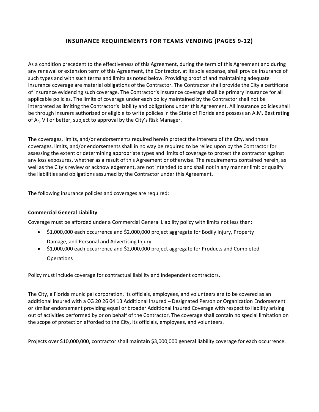### **INSURANCE REQUIREMENTS FOR TEAMS VENDING (PAGES 9-12)**

 applicable policies. The limits of coverage under each policy maintained by the Contractor shall not be of A-, VII or better, subject to approval by the City's Risk Manager. As a condition precedent to the effectiveness of this Agreement, during the term of this Agreement and during any renewal or extension term of this Agreement, the Contractor, at its sole expense, shall provide insurance of such types and with such terms and limits as noted below. Providing proof of and maintaining adequate insurance coverage are material obligations of the Contractor. The Contractor shall provide the City a certificate of insurance evidencing such coverage. The Contractor's insurance coverage shall be primary insurance for all interpreted as limiting the Contractor's liability and obligations under this Agreement. All insurance policies shall be through insurers authorized or eligible to write policies in the State of Florida and possess an A.M. Best rating

 The coverages, limits, and/or endorsements required herein protect the interests of the City, and these any loss exposures, whether as a result of this Agreement or otherwise. The requirements contained herein, as well as the City's review or acknowledgement, are not intended to and shall not in any manner limit or qualify coverages, limits, and/or endorsements shall in no way be required to be relied upon by the Contractor for assessing the extent or determining appropriate types and limits of coverage to protect the contractor against the liabilities and obligations assumed by the Contractor under this Agreement.

The following insurance policies and coverages are required:

#### **Commercial General Liability**

Coverage must be afforded under a Commercial General Liability policy with limits not less than:

- \$1,000,000 each occurrence and \$2,000,000 project aggregate for Bodily Injury, Property Damage, and Personal and Advertising Injury
- \$1,000,000 each occurrence and \$2,000,000 project aggregate for Products and Completed **Operations**

Policy must include coverage for contractual liability and independent contractors.

 The City, a Florida municipal corporation, its officials, employees, and volunteers are to be covered as an additional insured with a CG 20 26 04 13 Additional Insured – Designated Person or Organization Endorsement or similar endorsement providing equal or broader Additional Insured Coverage with respect to liability arising out of activities performed by or on behalf of the Contractor. The coverage shall contain no special limitation on the scope of protection afforded to the City, its officials, employees, and volunteers.

Projects over \$10,000,000, contractor shall maintain \$3,000,000 general liability coverage for each occurrence.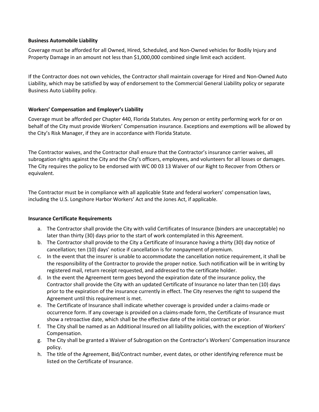#### **Business Automobile Liability**

 Property Damage in an amount not less than \$1,000,000 combined single limit each accident. Coverage must be afforded for all Owned, Hired, Scheduled, and Non-Owned vehicles for Bodily Injury and

 If the Contractor does not own vehicles, the Contractor shall maintain coverage for Hired and Non-Owned Auto Liability, which may be satisfied by way of endorsement to the Commercial General Liability policy or separate Business Auto Liability policy.

#### **Workers' Compensation and Employer's Liability**

 Coverage must be afforded per Chapter 440, Florida Statutes. Any person or entity performing work for or on behalf of the City must provide Workers' Compensation insurance. Exceptions and exemptions will be allowed by the City's Risk Manager, if they are in accordance with Florida Statute.

 subrogation rights against the City and the City's officers, employees, and volunteers for all losses or damages. The City requires the policy to be endorsed with WC 00 03 13 Waiver of our Right to Recover from Others or The Contractor waives, and the Contractor shall ensure that the Contractor's insurance carrier waives, all equivalent.

 The Contractor must be in compliance with all applicable State and federal workers' compensation laws, including the U.S. Longshore Harbor Workers' Act and the Jones Act, if applicable.

#### **Insurance Certificate Requirements**

- a. The Contractor shall provide the City with valid Certificates of Insurance (binders are unacceptable) no later than thirty (30) days prior to the start of work contemplated in this Agreement.
- b. The Contractor shall provide to the City a Certificate of Insurance having a thirty (30) day notice of cancellation; ten (10) days' notice if cancellation is for nonpayment of premium.
- c. In the event that the insurer is unable to accommodate the cancellation notice requirement, it shall be the responsibility of the Contractor to provide the proper notice. Such notification will be in writing by registered mail, return receipt requested, and addressed to the certificate holder.
- prior to the expiration of the insurance currently in effect. The City reserves the right to suspend the d. In the event the Agreement term goes beyond the expiration date of the insurance policy, the Contractor shall provide the City with an updated Certificate of Insurance no later than ten (10) days Agreement until this requirement is met.
- e. The Certificate of Insurance shall indicate whether coverage is provided under a claims-made or occurrence form. If any coverage is provided on a claims-made form, the Certificate of Insurance must show a retroactive date, which shall be the effective date of the initial contract or prior.
- f. The City shall be named as an Additional Insured on all liability policies, with the exception of Workers' Compensation.
- g. The City shall be granted a Waiver of Subrogation on the Contractor's Workers' Compensation insurance policy.
- h. The title of the Agreement, Bid/Contract number, event dates, or other identifying reference must be listed on the Certificate of Insurance.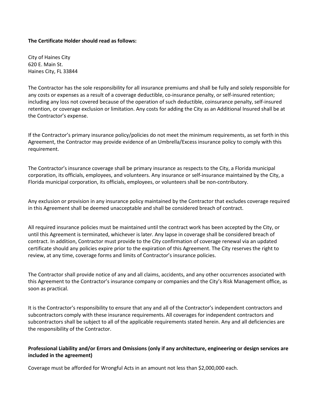#### **The Certificate Holder should read as follows:**

City of Haines City 620 E. Main St. Haines City, FL 33844

 retention, or coverage exclusion or limitation. Any costs for adding the City as an Additional Insured shall be at The Contractor has the sole responsibility for all insurance premiums and shall be fully and solely responsible for any costs or expenses as a result of a coverage deductible, co-insurance penalty, or self-insured retention; including any loss not covered because of the operation of such deductible, coinsurance penalty, self-insured the Contractor's expense.

 If the Contractor's primary insurance policy/policies do not meet the minimum requirements, as set forth in this Agreement, the Contractor may provide evidence of an Umbrella/Excess insurance policy to comply with this requirement.

 corporation, its officials, employees, and volunteers. Any insurance or self-insurance maintained by the City, a The Contractor's insurance coverage shall be primary insurance as respects to the City, a Florida municipal Florida municipal corporation, its officials, employees, or volunteers shall be non-contributory.

Any exclusion or provision in any insurance policy maintained by the Contractor that excludes coverage required in this Agreement shall be deemed unacceptable and shall be considered breach of contract.

 All required insurance policies must be maintained until the contract work has been accepted by the City, or certificate should any policies expire prior to the expiration of this Agreement. The City reserves the right to until this Agreement is terminated, whichever is later. Any lapse in coverage shall be considered breach of contract. In addition, Contractor must provide to the City confirmation of coverage renewal via an updated review, at any time, coverage forms and limits of Contractor's insurance policies.

 The Contractor shall provide notice of any and all claims, accidents, and any other occurrences associated with this Agreement to the Contractor's insurance company or companies and the City's Risk Management office, as soon as practical.

 It is the Contractor's responsibility to ensure that any and all of the Contractor's independent contractors and subcontractors shall be subject to all of the applicable requirements stated herein. Any and all deficiencies are subcontractors comply with these insurance requirements. All coverages for independent contractors and the responsibility of the Contractor.

### **Professional Liability and/or Errors and Omissions (only if any architecture, engineering or design services are included in the agreement)**

Coverage must be afforded for Wrongful Acts in an amount not less than \$2,000,000 each.